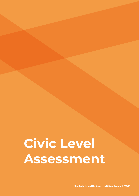# **Civic Level Assessment**

**Norfolk Health inequalities toolkit 2021**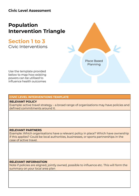### **Civic Level Assessment**

# **Population Intervention Triangle**

## **Section 1 to 3**

Civic Interventions



Use the template provided below to map how existing powers can be utilised to influence health outcomes

#### **CIVIC LEVEL INTERVENTIONS TEMPLATE**

#### **RELEVANT POLICY**

Example: active travel strategy – a broad range of organisations may have policies and defined commitments around it.

#### **RELEVANT PARTNERS**

Example: Which organisations have a relevant policy in place? Which have ownership if this applies? Could be local authorities, businesses, or sports partnerships in the case of active travel.

#### **RELEVANT INFORMATION**

Note if policies are aligned, jointly owned, possible to influence etc. This will form the summary on your local area plan